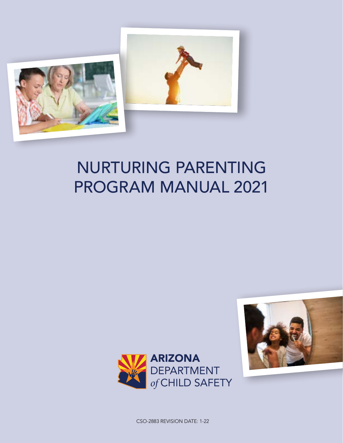

# NURTURING PARENTING PROGRAM MANUAL 2021





CSO-2883 REVISION DATE: 1-22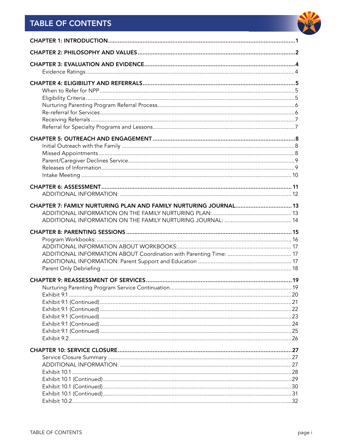# **TABLE OF CONTENTS**

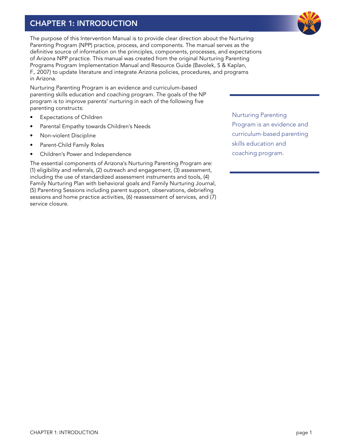# <span id="page-3-0"></span>CHAPTER 1: INTRODUCTION

The purpose of this Intervention Manual is to provide clear direction about the Nurturing Parenting Program (NPP) practice, process, and components. The manual serves as the definitive source of information on the principles, components, processes, and expectations of Arizona NPP practice. This manual was created from the original Nurturing Parenting Programs Program Implementation Manual and Resource Guide (Bavolek, S & Kaplan, F., 2007) to update literature and integrate Arizona policies, procedures, and programs in Arizona.

Nurturing Parenting Program is an evidence and curriculum-based parenting skills education and coaching program. The goals of the NP program is to improve parents' nurturing in each of the following five parenting constructs:

- **Expectations of Children**
- Parental Empathy towards Children's Needs
- Non-violent Discipline
- Parent-Child Family Roles
- Children's Power and Independence

The essential components of Arizona's Nurturing Parenting Program are: (1) eligibility and referrals, (2) outreach and engagement, (3) assessment, including the use of standardized assessment instruments and tools, (4) Family Nurturing Plan with behavioral goals and Family Nurturing Journal, (5) Parenting Sessions including parent support, observations, debriefing sessions and home practice activities, (6) reassessment of services, and (7) service closure.

Nurturing Parenting Program is an evidence and curriculum-based parenting skills education and coaching program.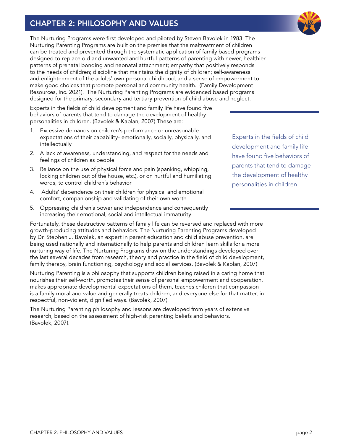# <span id="page-4-0"></span>CHAPTER 2: PHILOSOPHY AND VALUES

The Nurturing Programs were first developed and piloted by Steven Bavolek in 1983. The Nurturing Parenting Programs are built on the premise that the maltreatment of children can be treated and prevented through the systematic application of family based programs designed to replace old and unwanted and hurtful patterns of parenting with newer, healthier patterns of prenatal bonding and neonatal attachment; empathy that positively responds to the needs of children; discipline that maintains the dignity of children; self-awareness and enlightenment of the adults' own personal childhood; and a sense of empowerment to make good choices that promote personal and community health. (Family Development Resources, Inc. 2021). The Nurturing Parenting Programs are evidenced based programs designed for the primary, secondary and tertiary prevention of child abuse and neglect.

Experts in the fields of child development and family life have found five behaviors of parents that tend to damage the development of healthy personalities in children. (Bavolek & Kaplan, 2007) These are:

- 1. Excessive demands on children's performance or unreasonable expectations of their capability- emotionally, socially, physically, and intellectually
- 2. A lack of awareness, understanding, and respect for the needs and feelings of children as people
- 3. Reliance on the use of physical force and pain (spanking, whipping, locking children out of the house, etc.), or on hurtful and humiliating words, to control children's behavior
- 4. Adults' dependence on their children for physical and emotional comfort, companionship and validating of their own worth
- 5. Oppressing children's power and independence and consequently increasing their emotional, social and intellectual immaturity

Fortunately, these destructive patterns of family life can be reversed and replaced with more growth-producing attitudes and behaviors. The Nurturing Parenting Programs developed by Dr. Stephen J. Bavolek, an expert in parent education and child abuse prevention, are being used nationally and internationally to help parents and children learn skills for a more nurturing way of life. The Nurturing Programs draw on the understandings developed over the last several decades from research, theory and practice in the field of child development, family therapy, brain functioning, psychology and social services. (Bavolek & Kaplan, 2007)

Nurturing Parenting is a philosophy that supports children being raised in a caring home that nourishes their self-worth, promotes their sense of personal empowerment and cooperation, makes appropriate developmental expectations of them, teaches children that compassion is a family moral and value and generally treats children, and everyone else for that matter, in respectful, non-violent, dignified ways. (Bavolek, 2007).

The Nurturing Parenting philosophy and lessons are developed from years of extensive research, based on the assessment of high-risk parenting beliefs and behaviors. (Bavolek, 2007).

Experts in the fields of child development and family life have found five behaviors of parents that tend to damage the development of healthy personalities in children.

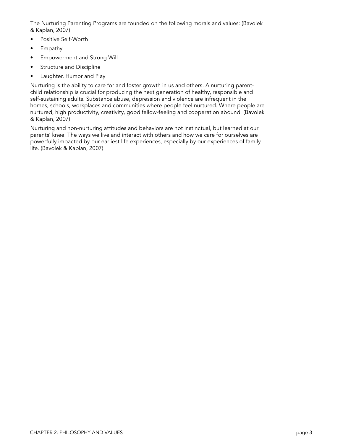The Nurturing Parenting Programs are founded on the following morals and values: (Bavolek & Kaplan, 2007)

- Positive Self-Worth
- Empathy
- Empowerment and Strong Will
- Structure and Discipline
- Laughter, Humor and Play

Nurturing is the ability to care for and foster growth in us and others. A nurturing parentchild relationship is crucial for producing the next generation of healthy, responsible and self-sustaining adults. Substance abuse, depression and violence are infrequent in the homes, schools, workplaces and communities where people feel nurtured. Where people are nurtured, high productivity, creativity, good fellow-feeling and cooperation abound. (Bavolek & Kaplan, 2007)

Nurturing and non-nurturing attitudes and behaviors are not instinctual, but learned at our parents' knee. The ways we live and interact with others and how we care for ourselves are powerfully impacted by our earliest life experiences, especially by our experiences of family life. (Bavolek & Kaplan, 2007)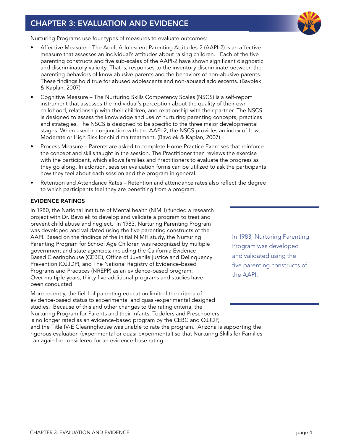# <span id="page-6-0"></span>CHAPTER 3: EVALUATION AND EVIDENCE



Nurturing Programs use four types of measures to evaluate outcomes:

- Affective Measure The Adult Adolescent Parenting Attitudes-2 (AAPI-2) is an affective measure that assesses an individual's attitudes about raising children. Each of the five parenting constructs and five sub-scales of the AAPI-2 have shown significant diagnostic and discriminatory validity. That is, responses to the inventory discriminate between the parenting behaviors of know abusive parents and the behaviors of non-abusive parents. These findings hold true for abused adolescents and non-abused adolescents. (Bavolek & Kaplan, 2007)
- Cognitive Measure The Nurturing Skills Competency Scales (NSCS) is a self-report instrument that assesses the individual's perception about the quality of their own childhood, relationship with their children, and relationship with their partner. The NSCS is designed to assess the knowledge and use of nurturing parenting concepts, practices and strategies. The NSCS is designed to be specific to the three major developmental stages. When used in conjunction with the AAPI-2, the NSCS provides an index of Low, Moderate or High Risk for child maltreatment. (Bavolek & Kaplan, 2007)
- Process Measure Parents are asked to complete Home Practice Exercises that reinforce the concept and skills taught in the session. The Practitioner then reviews the exercise with the participant, which allows families and Practitioners to evaluate the progress as they go along. In addition, session evaluation forms can be utilized to ask the participants how they feel about each session and the program in general.
- Retention and Attendance Rates Retention and attendance rates also reflect the degree to which participants feel they are benefiting from a program.

#### EVIDENCE RATINGS

In 1980, the National Institute of Mental health (NIMH) funded a research project with Dr. Bavolek to develop and validate a program to treat and prevent child abuse and neglect. In 1983, Nurturing Parenting Program was developed and validated using the five parenting constructs of the AAPI. Based on the findings of the initial NIMH study, the Nurturing Parenting Program for School Age Children was recognized by multiple government and state agencies; including the California Evidence Based Clearinghouse (CEBC), Office of Juvenile justice and Delinquency Prevention (OJJDP), and The National Registry of Evidence-based Programs and Practices (NREPP) as an evidence-based program. Over multiple years, thirty five additional programs and studies have been conducted.

More recently, the field of parenting education limited the criteria of evidence-based status to experimental and quasi-experimental designed studies. Because of this and other changes to the rating criteria, the Nurturing Program for Parents and their Infants, Toddlers and Preschoolers is no longer rated as an evidence-based program by the CEBC and OJJDP, and the Title IV-E Clearinghouse was unable to rate the program. Arizona is supporting the rigorous evaluation (experimental or quasi-experimental) so that Nurturing Skills for Families can again be considered for an evidence-base rating.

In 1983, Nurturing Parenting Program was developed and validated using the five parenting constructs of the AAPI.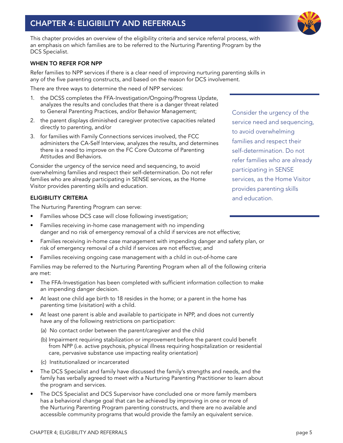# <span id="page-7-0"></span>CHAPTER 4: ELIGIBILITY AND REFERRALS

This chapter provides an overview of the eligibility criteria and service referral process, with an emphasis on which families are to be referred to the Nurturing Parenting Program by the DCS Specialist.

#### WHEN TO REFER FOR NPP

Refer families to NPP services if there is a clear need of improving nurturing parenting skills in any of the five parenting constructs, and based on the reason for DCS involvement.

There are three ways to determine the need of NPP services:

- 1. the DCSS completes the FFA-Investigation/Ongoing/Progress Update, analyzes the results and concludes that there is a danger threat related to General Parenting Practices, and/or Behavior Management;
- 2. the parent displays diminished caregiver protective capacities related directly to parenting, and/or
- 3. for families with Family Connections services involved, the FCC administers the CA-Self Interview, analyzes the results, and determines there is a need to improve on the FC Core Outcome of Parenting Attitudes and Behaviors.

Consider the urgency of the service need and sequencing, to avoid overwhelming families and respect their self-determination. Do not refer families who are already participating in SENSE services, as the Home Visitor provides parenting skills and education.

#### ELIGIBILITY CRITERIA

The Nurturing Parenting Program can serve:

- Families whose DCS case will close following investigation;
- Families receiving in-home case management with no impending danger and no risk of emergency removal of a child if services are not effective;
- Families receiving in-home case management with impending danger and safety plan, or risk of emergency removal of a child if services are not effective; and
- Families receiving ongoing case management with a child in out-of-home care

Families may be referred to the Nurturing Parenting Program when all of the following criteria are met:

- The FFA-Investigation has been completed with sufficient information collection to make an impending danger decision.
- At least one child age birth to 18 resides in the home; or a parent in the home has parenting time (visitation) with a child.
- At least one parent is able and available to participate in NPP, and does not currently have any of the following restrictions on participation:
	- (a) No contact order between the parent/caregiver and the child
	- (b) Impairment requiring stabilization or improvement before the parent could benefit from NPP (i.e. active psychosis, physical illness requiring hospitalization or residential care, pervasive substance use impacting reality orientation)
	- (c) Institutionalized or incarcerated
- The DCS Specialist and family have discussed the family's strengths and needs, and the family has verbally agreed to meet with a Nurturing Parenting Practitioner to learn about the program and services.
- The DCS Specialist and DCS Supervisor have concluded one or more family members has a behavioral change goal that can be achieved by improving in one or more of the Nurturing Parenting Program parenting constructs, and there are no available and accessible community programs that would provide the family an equivalent service.

Consider the urgency of the service need and sequencing, to avoid overwhelming families and respect their self-determination. Do not refer families who are already participating in SENSE services, as the Home Visitor provides parenting skills and education.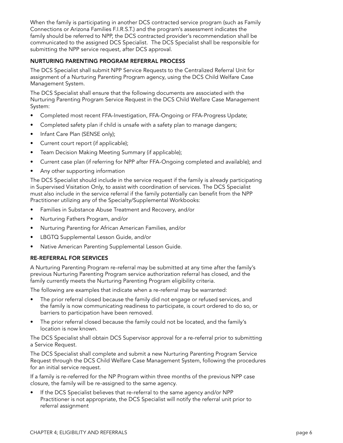<span id="page-8-0"></span>When the family is participating in another DCS contracted service program (such as Family Connections or Arizona Families F.I.R.S.T.) and the program's assessment indicates the family should be referred to NPP, the DCS contracted provider's recommendation shall be communicated to the assigned DCS Specialist. The DCS Specialist shall be responsible for submitting the NPP service request, after DCS approval.

#### NURTURING PARENTING PROGRAM REFERRAL PROCESS

The DCS Specialist shall submit NPP Service Requests to the Centralized Referral Unit for assignment of a Nurturing Parenting Program agency, using the DCS Child Welfare Case Management System.

The DCS Specialist shall ensure that the following documents are associated with the Nurturing Parenting Program Service Request in the DCS Child Welfare Case Management System:

- Completed most recent FFA-Investigation, FFA-Ongoing or FFA-Progress Update;
- Completed safety plan if child is unsafe with a safety plan to manage dangers;
- Infant Care Plan (SENSE only);
- Current court report (if applicable);
- Team Decision Making Meeting Summary (if applicable);
- Current case plan (if referring for NPP after FFA-Ongoing completed and available); and
- Any other supporting information

The DCS Specialist should include in the service request if the family is already participating in Supervised Visitation Only, to assist with coordination of services. The DCS Specialist must also include in the service referral if the family potentially can benefit from the NPP Practitioner utilizing any of the Specialty/Supplemental Workbooks:

- Families in Substance Abuse Treatment and Recovery, and/or
- Nurturing Fathers Program, and/or
- Nurturing Parenting for African American Families, and/or
- LBGTQ Supplemental Lesson Guide, and/or
- Native American Parenting Supplemental Lesson Guide.

#### RE-REFERRAL FOR SERVICES

A Nurturing Parenting Program re-referral may be submitted at any time after the family's previous Nurturing Parenting Program service authorization referral has closed, and the family currently meets the Nurturing Parenting Program eligibility criteria.

The following are examples that indicate when a re-referral may be warranted:

- The prior referral closed because the family did not engage or refused services, and the family is now communicating readiness to participate, is court ordered to do so, or barriers to participation have been removed.
- The prior referral closed because the family could not be located, and the family's location is now known.

The DCS Specialist shall obtain DCS Supervisor approval for a re-referral prior to submitting a Service Request.

The DCS Specialist shall complete and submit a new Nurturing Parenting Program Service Request through the DCS Child Welfare Case Management System, following the procedures for an initial service request.

If a family is re-referred for the NP Program within three months of the previous NPP case closure, the family will be re-assigned to the same agency.

• If the DCS Specialist believes that re-referral to the same agency and/or NPP Practitioner is not appropriate, the DCS Specialist will notify the referral unit prior to referral assignment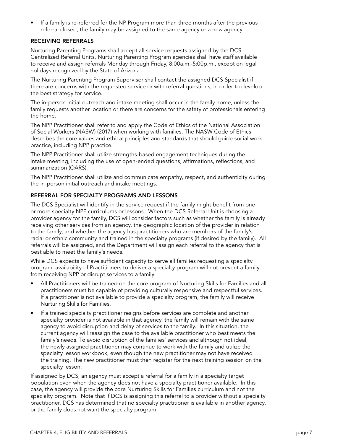<span id="page-9-0"></span>• If a family is re-referred for the NP Program more than three months after the previous referral closed, the family may be assigned to the same agency or a new agency.

#### RECEIVING REFERRALS

Nurturing Parenting Programs shall accept all service requests assigned by the DCS Centralized Referral Units. Nurturing Parenting Program agencies shall have staff available to receive and assign referrals Monday through Friday, 8:00a.m.-5:00p.m., except on legal holidays recognized by the State of Arizona.

The Nurturing Parenting Program Supervisor shall contact the assigned DCS Specialist if there are concerns with the requested service or with referral questions, in order to develop the best strategy for service.

The in-person initial outreach and intake meeting shall occur in the family home, unless the family requests another location or there are concerns for the safety of professionals entering the home.

The NPP Practitioner shall refer to and apply the Code of Ethics of the National Association of Social Workers (NASW) (2017) when working with families. The NASW Code of Ethics describes the core values and ethical principles and standards that should guide social work practice, including NPP practice.

The NPP Practitioner shall utilize strengths-based engagement techniques during the intake meeting, including the use of open-ended questions, affirmations, reflections, and summarization (OARS).

The NPP Practitioner shall utilize and communicate empathy, respect, and authenticity during the in-person initial outreach and intake meetings.

#### REFERRAL FOR SPECIALTY PROGRAMS AND LESSONS

The DCS Specialist will identify in the service request if the family might benefit from one or more specialty NPP curriculums or lessons. When the DCS Referral Unit is choosing a provider agency for the family, DCS will consider factors such as whether the family is already receiving other services from an agency, the geographic location of the provider in relation to the family, and whether the agency has practitioners who are members of the family's racial or ethnic community and trained in the specialty programs (if desired by the family). All referrals will be assigned, and the Department will assign each referral to the agency that is best able to meet the family's needs.

While DCS expects to have sufficient capacity to serve all families requesting a specialty program, availability of Practitioners to deliver a specialty program will not prevent a family from receiving NPP or disrupt services to a family.

- All Practitioners will be trained on the core program of Nurturing Skills for Families and all practitioners must be capable of providing culturally responsive and respectful services. If a practitioner is not available to provide a specialty program, the family will receive Nurturing Skills for Families.
- If a trained specialty practitioner resigns before services are complete and another specialty provider is not available in that agency, the family will remain with the same agency to avoid disruption and delay of services to the family. In this situation, the current agency will reassign the case to the available practitioner who best meets the family's needs. To avoid disruption of the families' services and although not ideal, the newly assigned practitioner may continue to work with the family and utilize the specialty lesson workbook, even though the new practitioner may not have received the training. The new practitioner must then register for the next training session on the specialty lesson.

If assigned by DCS, an agency must accept a referral for a family in a specialty target population even when the agency does not have a specialty practitioner available. In this case, the agency will provide the core Nurturing Skills for Families curriculum and not the specialty program. Note that if DCS is assigning this referral to a provider without a specialty practitioner, DCS has determined that no specialty practitioner is available in another agency, or the family does not want the specialty program.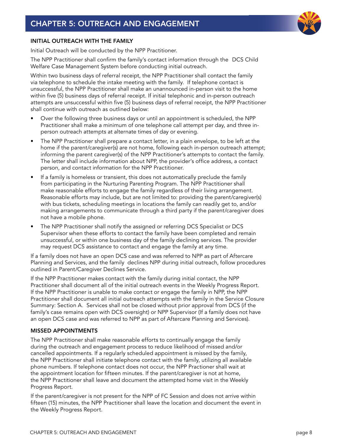

#### <span id="page-10-0"></span>INITIAL OUTREACH WITH THE FAMILY

Initial Outreach will be conducted by the NPP Practitioner.

The NPP Practitioner shall confirm the family's contact information through the DCS Child Welfare Case Management System before conducting initial outreach.

Within two business days of referral receipt, the NPP Practitioner shall contact the family via telephone to schedule the intake meeting with the family. If telephone contact is unsuccessful, the NPP Practitioner shall make an unannounced in-person visit to the home within five (5) business days of referral receipt. If initial telephonic and in-person outreach attempts are unsuccessful within five (5) business days of referral receipt, the NPP Practitioner shall continue with outreach as outlined below:

- Over the following three business days or until an appointment is scheduled, the NPP Practitioner shall make a minimum of one telephone call attempt per day, and three inperson outreach attempts at alternate times of day or evening.
- The NPP Practitioner shall prepare a contact letter, in a plain envelope, to be left at the home if the parent/caregiver(s) are not home, following each in-person outreach attempt; informing the parent caregiver(s) of the NPP Practitioner's attempts to contact the family. The letter shall include information about NPP, the provider's office address, a contact person, and contact information for the NPP Practitioner.
- If a family is homeless or transient, this does not automatically preclude the family from participating in the Nurturing Parenting Program. The NPP Practitioner shall make reasonable efforts to engage the family regardless of their living arrangement. Reasonable efforts may include, but are not limited to: providing the parent/caregiver(s) with bus tickets, scheduling meetings in locations the family can readily get to, and/or making arrangements to communicate through a third party if the parent/caregiver does not have a mobile phone.
- The NPP Practitioner shall notify the assigned or referring DCS Specialist or DCS Supervisor when these efforts to contact the family have been completed and remain unsuccessful, or within one business day of the family declining services. The provider may request DCS assistance to contact and engage the family at any time.

If a family does not have an open DCS case and was referred to NPP as part of Aftercare Planning and Services, and the family declines NPP during initial outreach, follow procedures outlined in Parent/Caregiver Declines Service.

If the NPP Practitioner makes contact with the family during initial contact, the NPP Practitioner shall document all of the initial outreach events in the Weekly Progress Report. If the NPP Practitioner is unable to make contact or engage the family in NPP, the NPP Practitioner shall document all initial outreach attempts with the family in the Service Closure Summary: Section A. Services shall not be closed without prior approval from DCS (if the family's case remains open with DCS oversight) or NPP Supervisor (If a family does not have an open DCS case and was referred to NPP as part of Aftercare Planning and Services).

#### MISSED APPOINTMENTS

The NPP Practitioner shall make reasonable efforts to continually engage the family during the outreach and engagement process to reduce likelihood of missed and/or cancelled appointments. If a regularly scheduled appointment is missed by the family, the NPP Practitioner shall initiate telephone contact with the family, utilizing all available phone numbers. If telephone contact does not occur, the NPP Practioner shall wait at the appointment location for fifteen minutes. If the parent/caregiver is not at home, the NPP Practitioner shall leave and document the attempted home visit in the Weekly Progress Report.

If the parent/caregiver is not present for the NPP of FC Session and does not arrive within fifteen (15) minutes, the NPP Practitioner shall leave the location and document the event in the Weekly Progress Report.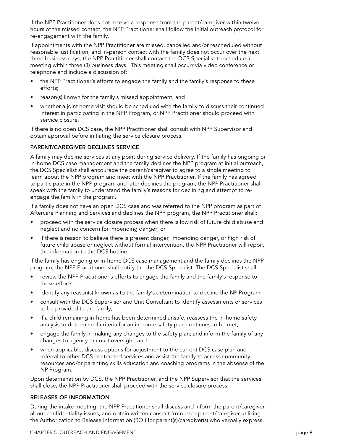<span id="page-11-0"></span>If the NPP Practitioner does not receive a response from the parent/caregiver within twelve hours of the missed contact, the NPP Practitioner shall follow the initial outreach protocol for re-engagement with the family.

If appointments with the NPP Practitioner are missed, cancelled and/or rescheduled without reasonable justification, and in-person contact with the family does not occur over the next three business days, the NPP Practitioner shall contact the DCS Specialist to schedule a meeting within three (3) business days. This meeting shall occurr via video conference or telephone and include a discussion of:

- the NPP Practitioner's efforts to engage the family and the family's response to these efforts;
- reason(s) known for the family's missed appointment; and
- whether a joint home visit should be scheduled with the family to discuss their continued interest in participating in the NPP Program, or NPP Practitioner should proceed with service closure.

If there is no open DCS case, the NPP Practitioner shall consult with NPP Supervisor and obtain approval before initiating the service closure process.

#### PARENT/CAREGIVER DECLINES SERVICE

A family may decline services at any point during service delivery. If the family has ongoing or in-home DCS case management and the family declines the NPP program at initial outreach, the DCS Specialist shall encourage the parent/caregiver to agree to a single meeting to learn about the NPP program and meet with the NPP Practitioner. If the family has agreed to participate in the NPP program and later declines the program, the NPP Practitioner shall speak with the family to understand the family's reasons for declining and attempt to reengage the family in the program.

If a family does not have an open DCS case and was referred to the NPP program as part of Aftercare Planning and Services and declines the NPP program, the NPP Practitioner shall:

- proceed with the service closure process when there is low risk of future child abuse and neglect and no concern for impending danger; or
- if there is reason to believe there is present danger, impending danger, or high risk of future child abuse or neglect without formal intervention, the NPP Practitioner will report the information to the DCS hotline.

If the family has ongoing or in-home DCS case management and the family declines the NPP program, the NPP Practitioner shall notify the the DCS Specialist. The DCS Specialist shall:

- review the NPP Practitioner's efforts to engage the family and the family's response to those efforts;
- identify any reason(s) known as to the family's determination to decline the NP Program;
- consult with the DCS Supervisor and Unit Consultant to identify assessments or services to be provided to the family;
- if a child remaining in-home has been determined unsafe, reassess the in-home safety analysis to determine if criteria for an in-home safety plan continues to be met;
- engage the family in making any changes to the safety plan; and inform the family of any changes to agency or court oversight; and
- when applicable, discuss options for adjustment to the current DCS case plan and referral to other DCS contracted services and assist the family to access community resources and/or parenting skills education and coaching programs in the absense of the NP Program.

Upon determination by DCS, the NPP Practitioner, and the NPP Supervisor that the services shall close, the NPP Practitioner shall proceed with the service closure process.

#### RELEASES OF INFORMATION

During the intake meeting, the NPP Practitioner shall discuss and inform the parent/caregiver about confidentiality issues, and obtain written consent from each parent/caregiver utilizing the Authorization to Release Information (ROI) for parent(s)/caregiver(s) who verbally express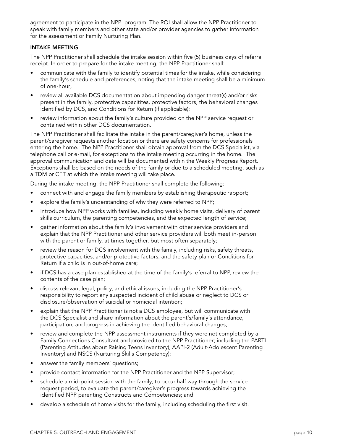<span id="page-12-0"></span>agreement to participate in the NPP program. The ROI shall allow the NPP Practitioner to speak with family members and other state and/or provider agencies to gather information for the assessment or Family Nurturing Plan.

#### INTAKE MEETING

The NPP Practitioner shall schedule the intake session within five (5) business days of referral receipt. In order to prepare for the intake meeting, the NPP Practitioner shall:

- communicate with the family to identify potential times for the intake, while considering the family's schedule and preferences, noting that the intake meeting shall be a minimum of one-hour;
- review all available DCS documentation about impending danger threat(s) and/or risks present in the family, protective capacitites, protective factors, the behavioral changes identified by DCS, and Conditions for Return (if applicable);
- review information about the family's culture provided on the NPP service request or contained within other DCS documentation.

The NPP Practitioner shall facilitate the intake in the parent/caregiver's home, unless the parent/caregiver requests another location or there are safety concerns for professionals entering the home. The NPP Practitioner shall obtain approval from the DCS Specialist, via telephone call or e-mail, for exceptions to the intake meeting occurring in the home. The approval communication and date will be documented within the Weekly Progress Report. Exceptions shall be based on the needs of the family or due to a scheduled meeting, such as a TDM or CFT at which the intake meeting will take place.

During the intake meeting, the NPP Practitioner shall complete the following:

- connect with and engage the family members by establishing therapeutic rapport;
- explore the family's understanding of why they were referred to NPP;
- introduce how NPP works with families, including weekly home visits, delivery of parent skills curriculum, the parenting competencies, and the expected length of service;
- gather information about the family's involvement with other service providers and explain that the NPP Practitioner and other service providers will both meet in-person with the parent or family, at times together, but most often separately;
- review the reason for DCS involvement with the family, including risks, safety threats, protective capacities, and/or protective factors, and the safety plan or Conditions for Return if a child is in out-of-home care;
- if DCS has a case plan established at the time of the family's referral to NPP, review the contents of the case plan;
- discuss relevant legal, policy, and ethical issues, including the NPP Practitioner's responsibility to report any suspected incident of child abuse or neglect to DCS or disclosure/observation of suicidal or homicidal intention;
- explain that the NPP Practitioner is not a DCS employee, but will communicate with the DCS Specialist and share information about the parent's/family's attendance, participation, and progress in achieving the identified behavioral changes;
- review and complete the NPP assessment instruments if they were not completed by a Family Connections Consultant and provided to the NPP Practitioner; including the PARTI (Parenting Attitudes about Raising Teens Inventory), AAPI-2 (Adult-Adolescent Parenting Inventory) and NSCS (Nurturing Skills Competency);
- answer the family members' questions;
- provide contact information for the NPP Practitioner and the NPP Supervisor;
- schedule a mid-point session with the family, to occur half way through the service request period, to evaluate the parent/caregiver's progress towards achieving the identified NPP parenting Constructs and Competencies; and
- develop a schedule of home visits for the family, including scheduling the first visit.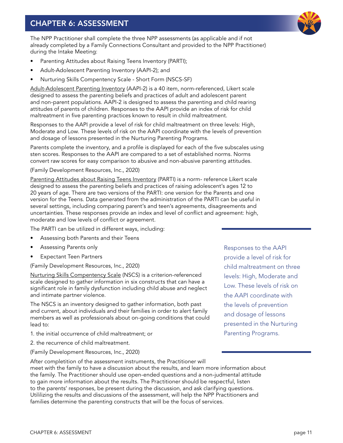# <span id="page-13-0"></span>CHAPTER 6: ASSESSMENT

The NPP Practitioner shall complete the three NPP assessments (as applicable and if not already completed by a Family Connections Consultant and provided to the NPP Practitioner) during the Intake Meeting:

- Parenting Attitudes about Raising Teens Inventory (PARTI);
- Adult-Adolescent Parenting Inventory (AAPI-2); and
- Nurturing Skills Compentency Scale Short Form (NSCS-SF)

Adult-Adolescent Parenting Inventory (AAPI-2) is a 40 item, norm-referenced, Likert scale designed to assess the parenting beliefs and practices of adult and adolescent parent and non-parent populations. AAPI-2 is designed to assess the parenting and child rearing attitudes of parents of children. Responses to the AAPI provide an index of risk for child maltreatment in five parenting practices known to result in child maltreatment.

Responses to the AAPI provide a level of risk for child maltreatment on three levels: High, Moderate and Low. These levels of risk on the AAPI coordinate with the levels of prevention and dosage of lessons presented in the Nurturing Parenting Programs.

Parents complete the inventory, and a profile is displayed for each of the five subscales using sten scores. Responses to the AAPI are compared to a set of established norms. Norms convert raw scores for easy comparison to abusive and non-abusive parenting attitudes.

(Family Development Resources, Inc., 2020)

Parenting Attitudes about Raising Teens Inventory (PARTI) is a norm- reference Likert scale designed to assess the parenting beliefs and practices of raising adolescent's ages 12 to 20 years of age. There are two versions of the PARTI: one version for the Parents and one version for the Teens. Data generated from the administration of the PARTI can be useful in several settings, including comparing parent's and teen's agreements, disagreements and uncertainties. These responses provide an index and level of conflict and agreement: high, moderate and low levels of conflict or agreement.

The PARTI can be utilized in different ways, including:

- Assessing both Parents and their Teens
- Assessing Parents only
- **Expectant Teen Partners**

(Family Development Resources, Inc., 2020)

Nurturing Skills Compentency Scale (NSCS) is a criterion-referenced scale designed to gather information in six constructs that can have a significant role in family dysfunction including child abuse and neglect and intimate partner violence.

The NSCS is an inventory designed to gather information, both past and current, about individuals and their families in order to alert family members as well as professionals about on-going conditions that could lead to:

- 1. the initial occurrence of child maltreatment; or
- 2. the recurrence of child maltreatment.

(Family Development Resources, Inc., 2020)

After completition of the assessment instruments, the Practitioner will meet with the family to have a discussion about the results, and learn more information about the family. The Practitioner should use open-ended questions and a non-judmental attitude to gain more information about the results. The Practitioner should be respectful, listen to the parents' responses, be present during the discussion, and ask clarifying questions. Utililizing the results and discussions of the assessment, will help the NPP Practitioners and families determine the parenting constructs that will be the focus of services.

Responses to the AAPI provide a level of risk for child maltreatment on three levels: High, Moderate and Low. These levels of risk on the AAPI coordinate with the levels of prevention and dosage of lessons presented in the Nurturing Parenting Programs.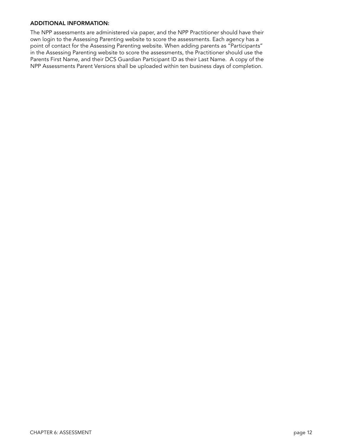#### <span id="page-14-0"></span>ADDITIONAL INFORMATION:

The NPP assessments are administered via paper, and the NPP Practitioner should have their own login to the Assessing Parenting website to score the assessments. Each agency has a point of contact for the Assessing Parenting website. When adding parents as "Participants" in the Assessing Parenting website to score the assessments, the Practitioner should use the Parents First Name, and their DCS Guardian Participant ID as their Last Name. A copy of the NPP Assessments Parent Versions shall be uploaded within ten business days of completion.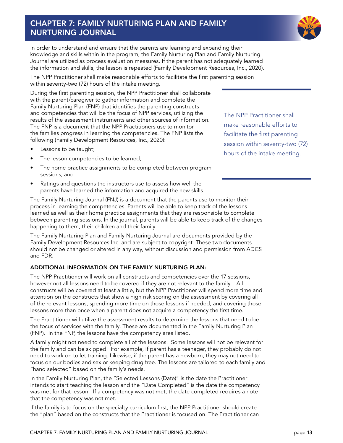# <span id="page-15-0"></span>CHAPTER 7: FAMILY NURTURING PLAN AND FAMILY NURTURING JOURNAL



In order to understand and ensure that the parents are learning and expanding their knowledge and skills within in the program, the Family Nurturing Plan and Family Nurturing Journal are utilized as process evaluation measures. If the parent has not adequately learned the information and skills, the lesson is repeated (Family Development Resources, Inc., 2020).

The NPP Practitioner shall make reasonable efforts to facilitate the first parenting session within seventy-two (72) hours of the intake meeting.

During the first parenting session, the NPP Practitioner shall collaborate with the parent/caregiver to gather information and complete the Family Nurturing Plan (FNP) that identifies the parenting constructs and competencies that will be the focus of NPP services, utilizing the results of the assessment instruments and other sources of information. The FNP is a document that the NPP Practitioners use to monitor the families progress in learning the competencies. The FNP lists the following (Family Development Resources, Inc., 2020):

- Lessons to be taught;
- The lesson competencies to be learned;
- The home practice assignments to be completed between program sessions; and
- Ratings and questions the instructors use to assess how well the parents have learned the information and acquired the new skills.

The NPP Practitioner shall make reasonable efforts to facilitate the first parenting session within seventy-two (72) hours of the intake meeting.

The Family Nurturing Journal (FNJ) is a document that the parents use to monitor their process in learning the competencies. Parents will be able to keep track of the lessons learned as well as their home practice assignments that they are responsible to complete between parenting sessions. In the journal, parents will be able to keep track of the changes happening to them, their children and their family.

The Family Nurturing Plan and Family Nurturing Journal are documents provided by the Family Development Resources Inc. and are subject to copyright. These two documents should not be changed or altered in any way, without discussion and permission from ADCS and FDR.

#### ADDITIONAL INFORMATION ON THE FAMILY NURTURING PLAN:

The NPP Practitioner will work on all constructs and competencies over the 17 sessions, however not all lessons need to be covered if they are not relevant to the family. All constructs will be covered at least a little, but the NPP Practitioner will spend more time and attention on the constructs that show a high risk scoring on the assessment by covering all of the relevant lessons, spending more time on those lessons if needed, and covering those lessons more than once when a parent does not acquire a competency the first time.

The Practitioner will utilize the assessment results to determine the lessons that need to be the focus of services with the family. These are documented in the Family Nurturing Plan (FNP). In the FNP, the lessons have the competency area listed.

A family might not need to complete all of the lessons. Some lessons will not be relevant for the family and can be skipped. For example, if parent has a teenager, they probably do not need to work on toilet training. Likewise, if the parent has a newborn, they may not need to focus on our bodies and sex or keeping drug free. The lessons are tailored to each family and "hand selected" based on the family's needs.

In the Family Nurturing Plan, the "Selected Lessons (Date)" is the date the Practitioner intends to start teaching the lesson and the "Date Completed" is the date the competency was met for that lesson. If a competency was not met, the date completed requires a note that the competency was not met.

If the family is to focus on the specialty curriculum first, the NPP Practitioner should create the "plan" based on the constructs that the Practitioner is focused on. The Practitioner can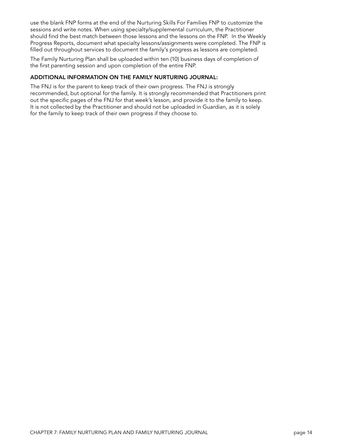<span id="page-16-0"></span>use the blank FNP forms at the end of the Nurturing Skills For Families FNP to customize the sessions and write notes. When using specialty/supplemental curriculum, the Practitioner should find the best match between those lessons and the lessons on the FNP. In the Weekly Progress Reports, document what specialty lessons/assignments were completed. The FNP is filled out throughout services to document the family's progress as lessons are completed.

The Family Nurturing Plan shall be uploaded within ten (10) business days of completion of the first parenting session and upon completion of the entire FNP.

#### ADDITIONAL INFORMATION ON THE FAMILY NURTURING JOURNAL:

The FNJ is for the parent to keep track of their own progress. The FNJ is strongly recommended, but optional for the family. It is strongly recommended that Practitioners print out the specific pages of the FNJ for that week's lesson, and provide it to the family to keep. It is not collected by the Practitioner and should not be uploaded in Guardian, as it is solely for the family to keep track of their own progress if they choose to.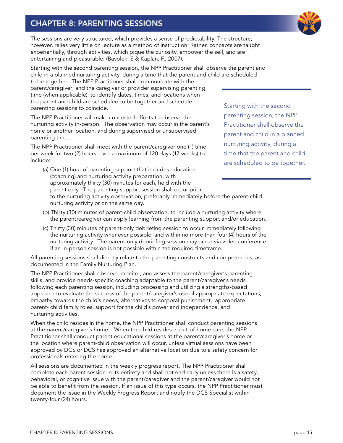# <span id="page-17-0"></span>CHAPTER 8: PARENTING SESSIONS

parenting sessions to coincide.



The sessions are very structured, which provides a sense of predictability. The structure, however, relies very little on lecture as a method of instruction. Rather, concepts are taught experientially, through activities, which pique the curiosity, empower the self, and are entertaining and pleasurable. (Bavolek, S & Kaplan, F., 2007).

Starting with the second parenting session, the NPP Practitioner shall observe the parent and child in a planned nurturing activity, during a time that the parent and child are scheduled to be together. The NPP Practitioner shall communicate with the parent/caregiver; and the caregiver or provider supervising parenting time (when applicable); to identify dates, times, and locations when the parent and child are scheduled to be together and schedule

The NPP Practitioner will make concerted efforts to observe the nurturing activity in-person. The observation may occur in the parent's home or another location, and during supervised or unsupervised parenting time.

The NPP Practitioner shall meet with the parent/caregiver one (1) time per week for two (2) hours, over a maximum of 120 days (17 weeks) to include:

- (a) One (1) hour of parenting support that includes education (coaching) and nurturing activity preparation, with approximately thirty (30) minutes for each, held with the parent only. The parenting support session shall occur prior to the nurturing activity observation, preferably immediately before the parent-child nurturing activity or on the same day.
- (b) Thirty (30) minutes of parent-child observation, to include a nurturing activity where the parent/caregiver can apply learning from the parenting support and/or education.
- (c) Thirty (30) minutes of parent-only debriefing session to occur immediately following the nurturing activity whenever possible, and within no more than four (4) hours of the nurturing activity. The parent-only debriefing session may occur via video conference if an in-person session is not possible within the required timeframe.

All parenting sessions shall directly relate to the parenting constructs and competencies, as documented in the Family Nurturing Plan.

The NPP Practitioner shall observe, monitor, and assess the parent/caregiver's parenting skills, and provide needs-specific coaching adaptable to the parent/caregiver's needs following each parenting session, including processing and utilizing a strengths-based approach to evaluate the success of the parent/caregiver's use of appropriate expectations, empathy towards the child's needs, alternatives to corporal punishment, appropriate parent- child family roles, support for the child's power and independence, and nurturing activities.

When the child resides in the home, the NPP Practitioner shall conduct parenting sessions at the parent/caregiver's home. When the child resides in out-of-home care, the NPP Practitioner shall conduct parent educational sessions at the parent/caregiver's home or the location where parent-child observation will occur, unless virtual sessions have been approved by DCS or DCS has approved an alternative location due to a safety concern for professionals entering the home.

All sessions are documented in the weekly progress report. The NPP Practitioner shall complete each parent session in its entirety and shall not end early unless there is a safety, behavioral, or cognitive issue with the parent/caregiver and the parent/caregiver would not be able to benefit from the session. If an issue of this type occurs, the NPP Practitioner must document the issue in the Weekly Progress Report and notify the DCS Specialist within twenty-four (24) hours.

Starting with the second parenting session, the NPP Practitioner shall observe the parent and child in a planned nurturing activity, during a time that the parent and child are scheduled to be together.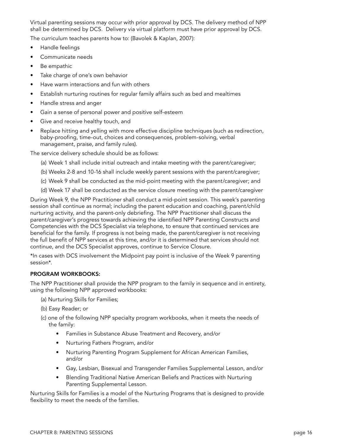<span id="page-18-0"></span>Virtual parenting sessions may occur with prior approval by DCS. The delivery method of NPP shall be determined by DCS. Delivery via virtual platform must have prior approval by DCS.

The curriculum teaches parents how to: (Bavolek & Kaplan, 2007):

- Handle feelings
- Communicate needs
- Be empathic
- Take charge of one's own behavior
- Have warm interactions and fun with others
- Establish nurturing routines for regular family affairs such as bed and mealtimes
- Handle stress and anger
- Gain a sense of personal power and positive self-esteem
- Give and receive healthy touch, and
- Replace hitting and yelling with more effective discipline techniques (such as redirection, baby-proofing, time-out, choices and consequences, problem-solving, verbal management, praise, and family rules).

The service delivery schedule should be as follows:

- (a) Week 1 shall include initial outreach and intake meeting with the parent/caregiver;
- (b) Weeks 2-8 and 10-16 shall include weekly parent sessions with the parent/caregiver;
- (c) Week 9 shall be conducted as the mid-point meeting with the parent/caregiver; and
- (d) Week 17 shall be conducted as the service closure meeting with the parent/caregiver

During Week 9, the NPP Practitioner shall conduct a mid-point session. This week's parenting session shall continue as normal; including the parent education and coaching, parent/child nurturing activity, and the parent-only debriefing. The NPP Practitioner shall discuss the parent/caregiver's progress towards achieving the identified NPP Parenting Constructs and Competencies with the DCS Specialist via telephone, to ensure that continued services are beneficial for the family. If progress is not being made, the parent/caregiver is not receiving the full benefit of NPP services at this time, and/or it is determined that services should not continue, and the DCS Specialist approves, continue to Service Closure.

\*In cases with DCS involvement the Midpoint pay point is inclusive of the Week 9 parenting session\*.

#### PROGRAM WORKBOOKS:

The NPP Practitioner shall provide the NPP program to the family in sequence and in entirety, using the following NPP approved workbooks:

- (a) Nurturing Skills for Families;
- (b) Easy Reader; or
- (c) one of the following NPP specialty program workbooks, when it meets the needs of the family:
	- Families in Substance Abuse Treatment and Recovery, and/or
	- Nurturing Fathers Program, and/or
	- Nurturing Parenting Program Supplement for African American Families, and/or
	- Gay, Lesbian, Bisexual and Transgender Families Supplemental Lesson, and/or
	- Blending Traditional Native American Beliefs and Practices with Nurturing Parenting Supplemental Lesson.

Nurturing Skills for Families is a model of the Nurturing Programs that is designed to provide flexibility to meet the needs of the families.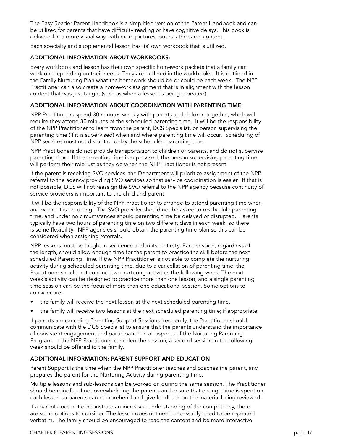<span id="page-19-0"></span>The Easy Reader Parent Handbook is a simplified version of the Parent Handbook and can be utilized for parents that have difficulty reading or have cognitive delays. This book is delivered in a more visual way, with more pictures, but has the same content.

Each specialty and supplemental lesson has its' own workbook that is utilized.

#### ADDITIONAL INFORMATION ABOUT WORKBOOKS:

Every workbook and lesson has their own specific homework packets that a family can work on; depending on their needs. They are outlined in the workbooks. It is outlined in the Family Nurturing Plan what the homework should be or could be each week. The NPP Practitioner can also create a homework assignment that is in alignment with the lesson content that was just taught (such as when a lesson is being repeated).

#### ADDITIONAL INFORMATION ABOUT COORDINATION WITH PARENTING TIME:

NPP Practitioners spend 30 minutes weekly with parents and children together, which will require they attend 30 minutes of the scheduled parenting time. It will be the responsibility of the NPP Practitioner to learn from the parent, DCS Specialist, or person supervising the parenting time (if it is supervised) when and where parenting time will occur. Scheduling of NPP services must not disrupt or delay the scheduled parenting time.

NPP Practitioners do not provide transportation to children or parents, and do not supervise parenting time. If the parenting time is supervised, the person supervising parenting time will perform their role just as they do when the NPP Practitioner is not present.

If the parent is receiving SVO services, the Department will prioritize assignment of the NPP referral to the agency providing SVO services so that service coordination is easier. If that is not possible, DCS will not reassign the SVO referral to the NPP agency because continuity of service providers is important to the child and parent.

It will be the responsibility of the NPP Practitioner to arrange to attend parenting time when and where it is occurring. The SVO provider should not be asked to reschedule parenting time, and under no circumstances should parenting time be delayed or disrupted. Parents typically have two hours of parenting time on two different days in each week, so there is some flexibility. NPP agencies should obtain the parenting time plan so this can be considered when assigning referrals.

NPP lessons must be taught in sequence and in its' entirety. Each session, regardless of the length, should allow enough time for the parent to practice the skill before the next scheduled Parenting Time. If the NPP Practitioner is not able to complete the nurturing activity during scheduled parenting time, due to a cancellation of parenting time, the Practitioner should not conduct two nurturing activities the following week. The next week's activity can be designed to practice more than one lesson, and a single parenting time session can be the focus of more than one educational session. Some options to consider are:

- the family will receive the next lesson at the next scheduled parenting time,
- the family will receive two lessons at the next scheduled parenting time; if appropriate

If parents are canceling Parenting Support Sessions frequently, the Practitioner should communicate with the DCS Specialist to ensure that the parents understand the importance of consistent engagement and participation in all aspects of the Nurturing Parenting Program. If the NPP Practitioner canceled the session, a second session in the following week should be offered to the family.

#### ADDITIONAL INFORMATION: PARENT SUPPORT AND EDUCATION

Parent Support is the time when the NPP Practitioner teaches and coaches the parent, and prepares the parent for the Nurturing Activity during parenting time.

Multiple lessons and sub-lessons can be worked on during the same session. The Practitioner should be mindful of not overwhelming the parents and ensure that enough time is spent on each lesson so parents can comprehend and give feedback on the material being reviewed.

If a parent does not demonstrate an increased understanding of the competency, there are some options to consider. The lesson does not need necessarily need to be repeated verbatim. The family should be encouraged to read the content and be more interactive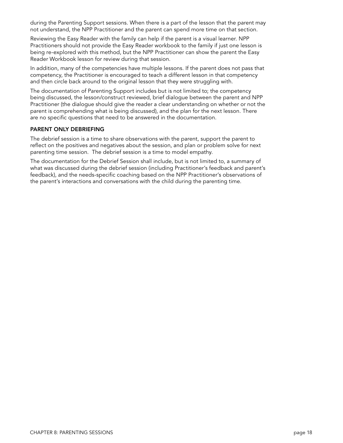<span id="page-20-0"></span>during the Parenting Support sessions. When there is a part of the lesson that the parent may not understand, the NPP Practitioner and the parent can spend more time on that section.

Reviewing the Easy Reader with the family can help if the parent is a visual learner. NPP Practitioners should not provide the Easy Reader workbook to the family if just one lesson is being re-explored with this method, but the NPP Practitioner can show the parent the Easy Reader Workbook lesson for review during that session.

In addition, many of the competencies have multiple lessons. If the parent does not pass that competency, the Practitioner is encouraged to teach a different lesson in that competency and then circle back around to the original lesson that they were struggling with.

The documentation of Parenting Support includes but is not limited to; the competency being discussed, the lesson/construct reviewed, brief dialogue between the parent and NPP Practitioner (the dialogue should give the reader a clear understanding on whether or not the parent is comprehending what is being discussed), and the plan for the next lesson. There are no specific questions that need to be answered in the documentation.

#### PARENT ONLY DEBRIEFING

The debrief session is a time to share observations with the parent, support the parent to reflect on the positives and negatives about the session, and plan or problem solve for next parenting time session. The debrief session is a time to model empathy.

The documentation for the Debrief Session shall include, but is not limited to, a summary of what was discussed during the debrief session (including Practitioner's feedback and parent's feedback), and the needs-specific coaching based on the NPP Practitioner's observations of the parent's interactions and conversations with the child during the parenting time.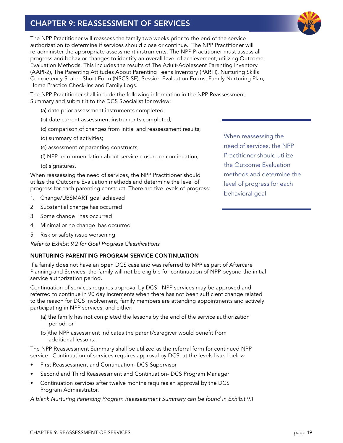# <span id="page-21-0"></span>CHAPTER 9: REASSESSMENT OF SERVICES

The NPP Practitioner will reassess the family two weeks prior to the end of the service authorization to determine if services should close or continue. The NPP Practitioner will re-administer the appropriate assessment instruments. The NPP Practitioner must assess all progress and behavior changes to identify an overall level of achievement, utilizing Outcome Evaluation Methods. This includes the results of The Adult-Adolescent Parenting Inventory (AAPI-2), The Parenting Attitudes About Parenting Teens Inventory (PARTI), Nurturing Skills Competency Scale - Short Form (NSCS-SF), Session Evaluation Forms, Family Nurturing Plan, Home Practice Check-Ins and Family Logs.

The NPP Practitioner shall include the following information in the NPP Reassessment Summary and submit it to the DCS Specialist for review:

- (a) date prior assessment instruments completed;
- (b) date current assessment instruments completed;
- (c) comparison of changes from initial and reassessment results;
- (d) summary of activities;
- (e) assessment of parenting constructs;
- (f) NPP recommendation about service closure or continuation;
- (g) signatures.

When reassessing the need of services, the NPP Practitioner should utilize the Outcome Evaluation methods and determine the level of progress for each parenting construct. There are five levels of progress:

- 1. Change/UBSMART goal achieved
- 2. Substantial change has occurred
- 3. Some change has occurred
- 4. Minimal or no change has occurred
- 5. Risk or safety issue worsening

*Refer to Exhibit 9.2 for Goal Progress Classifications*

#### NURTURING PARENTING PROGRAM SERVICE CONTINUATION

If a family does not have an open DCS case and was referred to NPP as part of Aftercare Planning and Services, the family will not be eligible for continuation of NPP beyond the initial service authorization period.

Continuation of services requires approval by DCS. NPP services may be approved and referred to continue in 90 day increments when there has not been sufficient change related to the reason for DCS involvement, family members are attending appointments and actively participating in NPP services, and either:

- (a) the family has not completed the lessons by the end of the service authorization period; or
- (b )the NPP assessment indicates the parent/caregiver would benefit from additional lessons.

The NPP Reassessment Summary shall be utilized as the referral form for continued NPP service. Continuation of services requires approval by DCS, at the levels listed below:

- First Reassessment and Continuation- DCS Supervisor
- Second and Third Reassessment and Continuation- DCS Program Manager
- Continuation services after twelve months requires an approval by the DCS Program Administrator.

*A blank Nurturing Parenting Program Reassessment Summary can be found in Exhibit 9.1*

When reassessing the need of services, the NPP Practitioner should utilize the Outcome Evaluation methods and determine the level of progress for each behavioral goal.

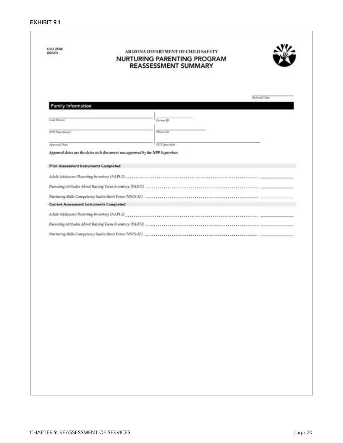<span id="page-22-0"></span>

| <b>Family Information</b>                                                      |                                                                                                                  |  |
|--------------------------------------------------------------------------------|------------------------------------------------------------------------------------------------------------------|--|
|                                                                                |                                                                                                                  |  |
| <b>Case Person</b>                                                             | Person ID                                                                                                        |  |
| <b>NPP Procfitioner</b>                                                        | Phone No.                                                                                                        |  |
| Approval Date                                                                  | DCS Specialist                                                                                                   |  |
| Approval dates are the dates each document was approved by the NPP Supervisor. |                                                                                                                  |  |
| Prior Assessment Instruments Completed                                         |                                                                                                                  |  |
|                                                                                |                                                                                                                  |  |
| Adult Adolescent Parenting Inventory (AAPI-2)                                  |                                                                                                                  |  |
| Parenting Attitudes About Raising Teens Inventory (PARTI)                      |                                                                                                                  |  |
| Nurturing Skills Competency Scales Short Form (NSCS-SF)                        |                                                                                                                  |  |
| <b>Current Assessment Instruments Completed</b>                                |                                                                                                                  |  |
|                                                                                | Adult Adolescent Parenting Inventory (AAPI-2) encourage and contain accommodation of the contained accommodation |  |
|                                                                                |                                                                                                                  |  |
|                                                                                |                                                                                                                  |  |
|                                                                                |                                                                                                                  |  |
|                                                                                |                                                                                                                  |  |
|                                                                                |                                                                                                                  |  |
|                                                                                |                                                                                                                  |  |
|                                                                                |                                                                                                                  |  |
|                                                                                |                                                                                                                  |  |
|                                                                                |                                                                                                                  |  |
|                                                                                |                                                                                                                  |  |
|                                                                                |                                                                                                                  |  |
|                                                                                |                                                                                                                  |  |
|                                                                                |                                                                                                                  |  |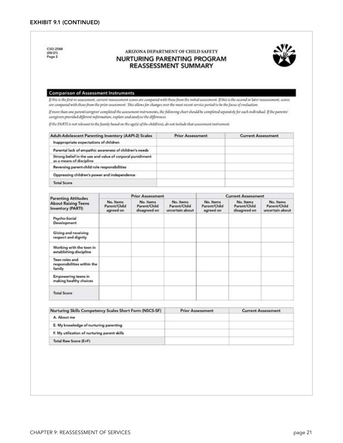<span id="page-23-0"></span>

| CSO-2588<br>(08/21)<br>Page 2                                                                                                                                                                                                                                                                                                                                                      |                                        |                                           | ARIZONA DEPARTMENT OF CHILD SAFETY<br><b>NURTURING PARENTING PROGRAM</b><br><b>REASSESSMENT SUMMARY</b> |                                        |                                           |                                              |
|------------------------------------------------------------------------------------------------------------------------------------------------------------------------------------------------------------------------------------------------------------------------------------------------------------------------------------------------------------------------------------|----------------------------------------|-------------------------------------------|---------------------------------------------------------------------------------------------------------|----------------------------------------|-------------------------------------------|----------------------------------------------|
| <b>Comparison of Assessment Instruments</b><br>If this is the first re-assessment, current roussesment scores are compared with those from the initial assessment. If this is the second or later reassessment, scores<br>are compared with those from the prior assessment. This allows for changes over the mest recent service period to be the focus of evaluation.            |                                        |                                           |                                                                                                         |                                        |                                           |                                              |
| If more than one parent/caregiver completed the assessment instruments, the following chart should be completed separately for each individual. If the parents/<br>caregivers provided different information, explore and analyze the differences.<br>If the PARTI is not relevant to the family based on the age(s) of the child(res), do not include that assessment instrument. |                                        |                                           |                                                                                                         |                                        |                                           |                                              |
| Adult-Adolescent Parenting Inventory (AAPI-2) Scales                                                                                                                                                                                                                                                                                                                               |                                        |                                           | <b>Prior Assessment</b>                                                                                 |                                        | <b>Current Assessment</b>                 |                                              |
| Inappropriate expectations of children                                                                                                                                                                                                                                                                                                                                             |                                        |                                           |                                                                                                         |                                        |                                           |                                              |
| Parental lack of empathic awareness of children's needs                                                                                                                                                                                                                                                                                                                            |                                        |                                           |                                                                                                         |                                        |                                           |                                              |
| Strong belief in the use and value of corporal punishment<br>as a means of discipline                                                                                                                                                                                                                                                                                              |                                        |                                           |                                                                                                         |                                        |                                           |                                              |
| Reversing parent-child role responsibilities                                                                                                                                                                                                                                                                                                                                       |                                        |                                           |                                                                                                         |                                        |                                           |                                              |
| Oppressing children's power and independence                                                                                                                                                                                                                                                                                                                                       |                                        |                                           |                                                                                                         |                                        |                                           |                                              |
| <b>Total Score</b>                                                                                                                                                                                                                                                                                                                                                                 |                                        |                                           |                                                                                                         |                                        |                                           |                                              |
|                                                                                                                                                                                                                                                                                                                                                                                    |                                        | <b>Prior Assessment</b>                   |                                                                                                         |                                        | <b>Current Assessment</b>                 |                                              |
| <b>Parenting Attitudes</b><br><b>About Raising Teens</b><br><b>Inventory (PARTI)</b>                                                                                                                                                                                                                                                                                               | No. Items<br>Parent/Child<br>agreed on | No. Items<br>Parent/Child<br>disagreed on | No. items<br>Parent/Child<br>uncertain about                                                            | No. Items<br>Parent/Child<br>agreed on | No. Items<br>Parent/Child<br>disagreed on | No. Items<br>Parent/Child<br>uncertain about |
| Psycho-Social<br>Development                                                                                                                                                                                                                                                                                                                                                       |                                        |                                           |                                                                                                         |                                        |                                           |                                              |
| Giving and receiving<br>respect and dignity                                                                                                                                                                                                                                                                                                                                        |                                        |                                           |                                                                                                         |                                        |                                           |                                              |
| Working with the teen in<br>establishing discipline                                                                                                                                                                                                                                                                                                                                |                                        |                                           |                                                                                                         |                                        |                                           |                                              |
| Teen roles and<br>responsibilities within the<br>family                                                                                                                                                                                                                                                                                                                            |                                        |                                           |                                                                                                         |                                        |                                           |                                              |
| Empowering teens in<br>making healthy choices                                                                                                                                                                                                                                                                                                                                      |                                        |                                           |                                                                                                         |                                        |                                           |                                              |
| <b>Total Score</b>                                                                                                                                                                                                                                                                                                                                                                 |                                        |                                           |                                                                                                         |                                        |                                           |                                              |
| Nurturing Skills Competency Scales Short Form (NSCS-SF)                                                                                                                                                                                                                                                                                                                            |                                        |                                           | <b>Prior Assessment</b>                                                                                 |                                        |                                           | <b>Current Assessment</b>                    |
| A. About me                                                                                                                                                                                                                                                                                                                                                                        |                                        |                                           |                                                                                                         |                                        |                                           |                                              |
| E. My knowledge of nurturing parenting                                                                                                                                                                                                                                                                                                                                             |                                        |                                           |                                                                                                         |                                        |                                           |                                              |
| F. My utilization of nurturing parent skills                                                                                                                                                                                                                                                                                                                                       |                                        |                                           |                                                                                                         |                                        |                                           |                                              |
|                                                                                                                                                                                                                                                                                                                                                                                    |                                        |                                           |                                                                                                         |                                        |                                           |                                              |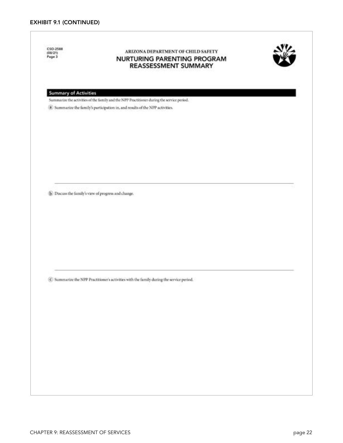<span id="page-24-0"></span>

| CSO-2588<br>(00/21)<br>Page 3 | ARIZONA DEPARTMENT OF CHILD SAFETY<br>NURTURING PARENTING PROGRAM<br>REASSESSMENT SUMMARY                                                                                     |  |
|-------------------------------|-------------------------------------------------------------------------------------------------------------------------------------------------------------------------------|--|
| <b>Summary of Activities</b>  |                                                                                                                                                                               |  |
|                               | Summarize the activities of the family and the NPP Practitioner during the service period.<br>(3) Summarize the family's participation in, and results of the NPP activities. |  |
|                               |                                                                                                                                                                               |  |
|                               |                                                                                                                                                                               |  |
|                               |                                                                                                                                                                               |  |
|                               |                                                                                                                                                                               |  |
|                               |                                                                                                                                                                               |  |
|                               |                                                                                                                                                                               |  |
|                               |                                                                                                                                                                               |  |
|                               | <sup>(b)</sup> Discuss the family's view of progress and change.                                                                                                              |  |
|                               |                                                                                                                                                                               |  |
|                               |                                                                                                                                                                               |  |
|                               |                                                                                                                                                                               |  |
|                               |                                                                                                                                                                               |  |
|                               |                                                                                                                                                                               |  |
|                               |                                                                                                                                                                               |  |
|                               |                                                                                                                                                                               |  |
|                               |                                                                                                                                                                               |  |
|                               | C Summarize the NPP Practitioner's activities with the family during the service period.                                                                                      |  |
|                               |                                                                                                                                                                               |  |
|                               |                                                                                                                                                                               |  |
|                               |                                                                                                                                                                               |  |
|                               |                                                                                                                                                                               |  |
|                               |                                                                                                                                                                               |  |
|                               |                                                                                                                                                                               |  |
|                               |                                                                                                                                                                               |  |
|                               |                                                                                                                                                                               |  |
|                               |                                                                                                                                                                               |  |
|                               |                                                                                                                                                                               |  |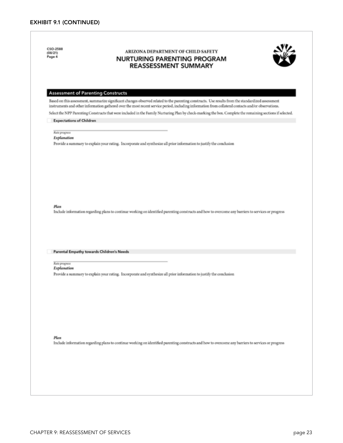<span id="page-25-0"></span>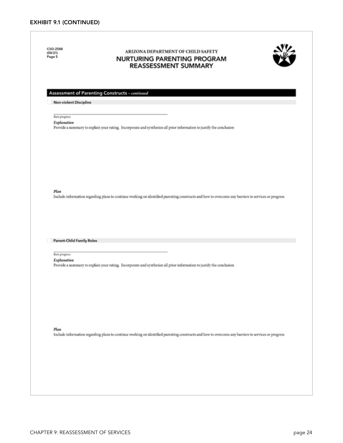<span id="page-26-0"></span>CSO-2588 ARIZONA DEPARTMENT OF CHILD SAFETY (08/21)<br>Page 5 **NURTURING PARENTING PROGRAM REASSESSMENT SUMMARY** Assessment of Parenting Constructs ~ continued Non-violent Discipline **Rete progress** Explanation Provide a summary to explain your rating. Incorporate and synthesize all prior information to justify the conclusion Plan Include information regarding plans to continue working on identified parenting constructs and how to overcome any barriers to services or progress **Parent-Child Family Roles Rate progress** Explanation Provide a summary to explain your rating. Incorporate and synthesize all prior information to justify the conclusion Plan Include information regarding plans to continue working on identified parenting constructs and how to overcome any barriers to services or progress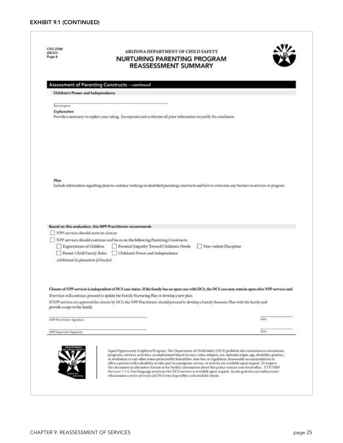<span id="page-27-0"></span>

| Page 6                                                             | ARIZONA DEPARTMENT OF CHILD SAFETY<br><b>NURTURING PARENTING PROGRAM</b><br><b>REASSESSMENT SUMMARY</b>                                                                                                                                                    |
|--------------------------------------------------------------------|------------------------------------------------------------------------------------------------------------------------------------------------------------------------------------------------------------------------------------------------------------|
|                                                                    | Assessment of Parenting Constructs ~ continued                                                                                                                                                                                                             |
| Children's Power and Independence                                  |                                                                                                                                                                                                                                                            |
| Reiz prognos                                                       |                                                                                                                                                                                                                                                            |
| Explanation                                                        |                                                                                                                                                                                                                                                            |
|                                                                    | Provide a summary to explain your rating. Incorporate and synthesize all prior information to justify the conclusion                                                                                                                                       |
|                                                                    |                                                                                                                                                                                                                                                            |
| Plan                                                               | Include information regarding plans to continue working on identified parenting constructs and how to overcome any barriers to services or progress                                                                                                        |
|                                                                    |                                                                                                                                                                                                                                                            |
|                                                                    | Based on this evaluation, this NPP Practitioner recommends                                                                                                                                                                                                 |
| NPP services should move to closure                                |                                                                                                                                                                                                                                                            |
|                                                                    | NPP services should continue and focus on the following Parenting Constructs:                                                                                                                                                                              |
| Expectations of Children                                           | Parental Empathy Toward Children's Needs<br>Non-violent Discipline                                                                                                                                                                                         |
| Parent-Child Family Roles                                          | Children's Power and Independence                                                                                                                                                                                                                          |
| Additional Explanation if Needed:                                  |                                                                                                                                                                                                                                                            |
|                                                                    | Closure of NPP services is independent of DCS case status. If the family has an open case with DCS, the DCS case may remain open after NPP services end.                                                                                                   |
|                                                                    | If services will continue, proceed to update the Family Nurturing Plan or develop a new plan.<br>If NPP services are approved for closure by DCS, the NPP Practitioner should proceed to develop a Family Resource Plan with the family and                |
|                                                                    | Date                                                                                                                                                                                                                                                       |
| provide a copy to the family.<br><b>NPP Proctitioner Signature</b> |                                                                                                                                                                                                                                                            |
| NPP Supervisor Signature                                           | Date<br>Equal Opportunity Employer/Program. The Department of Child Safety (DCS) prohibits discrimination in admissions,<br>programs, services, activities, or employment based on race, color, religion, sex, national origin, age, disability, genetics, |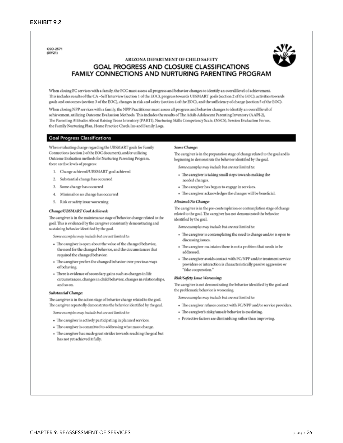<span id="page-28-0"></span>CSO-2571  $(09/21)$ 



#### ARIZONA DEPARTMENT OF CHILD SAFETY GOAL PROGRESS AND CLOSURE CLASSIFICATIONS FAMILY CONNECTIONS AND NURTURING PARENTING PROGRAM

When closing FC services with a family, the FCC must assess all progress and behavior changes to identify an overall level of achievement. This includes results of the CA-Self Interview (section 1 of the EOC), progress towards UBSMART goals (section 2 of the EOC), activities towards goals and outcomes (section 3 of the EOC), changes in risk and safety (section 4 of the EOC), and the sufficiency of change (section 5 of the EOC).

When closing NPP services with a family, the NPP Practitioner must assess all progress and behavior changes to identify an overall level of achievement, utilizing Outcome Evaluation Methods. This includes the results of The Adult-Adolescent Parenting Inventory (AAPI-2), The Parenting Attitudes About Raising Teens Inventory (PARTI), Nurturing Skills Competency Scale, (NSCS), Session Evaluation Forms, the Family Nurturing Plan, Home Practice Check-Ins and Family Logs.

#### **Goal Progress Classifications**

When evaluating change regarding the UBSMART goals for Family Connections (section 2 of the EOC document), and/or utilizing Outcome Evaluation methods for Nurturing Parenting Program, there are five levels of progress:

- 1. Change achieved/UBSMART goal achieved
- 2. Substantial change has occurred
- 3. Some change has occurred
- 4. Minimal or no change has occurred
- 5. Risk or safety issue worsening

#### Change/UBSMART Goal Achieved:

The caregiver is in the maintenance stage of behavior change related to the goal. This is evidenced by the caregiver consistently demonstrating and sustaining behavior identified by the goal.

Some examples may include but are not limited to:

- · The caregiver is open about the value of the changed behavior, the need for the changed behavior, and the circumstances that required the changed behavior.
- · The caregiver prefers the changed behavior over previous ways of behaving
- · There is evidence of secondary gains such as changes in life circumstances, changes in child behavior, changes in relationships, and so on.

#### Substantial Change:

The caregiver is in the action stage of behavior change related to the goal. The caregiver repeatedly demonstrates the behavior identified by the goal.

Some examples may include but are not limited to:

- · The caregiver is actively participating in planned services.
- · The caregiver is committed to addressing what must change.
- · The caregiver has made great strides towards reaching the goal but has not yet achieved it fully.

#### Some Changer

The caregiver is in the preparation stage of change related to the goal and is beginning to demonstrate the behavior identified by the goal.

Some examples may include but are not limited to:

- · The caregiver is taking small steps towards making the needed changes.
- · The caregiver has begun to engage in services.
- · The caregiver acknowledges the changes will be beneficial.

#### Minimal/No Change:

The caregiver is in the pre-contemplation or contemplation stage of change related to the goal. The caregiver has not demonstrated the behavior identified by the goal.

Some examples may include but are not limited ta:

- · The caregiver is contemplating the need to change and/or is open to discussing issues.
- · The caregiver maintains there is not a problem that needs to be addressed.
- · The caregiver avoids contact with FC/NPP and/or treatment service providers or interaction is characteristically passive aggressive or "fake cooperation."

#### Risk/Safety Issue Worsening:

The caregiver is not demonstrating the behavior identified by the goal and the problematic behavior is worsening.

Some examples may include but are not limited to:

- · The caregiver refuses contact with FC/NPP and/or service providers.
- · The caregiver's risky/unsafe behavior is escalating.
- · Protective factors are diminishing rather than improving.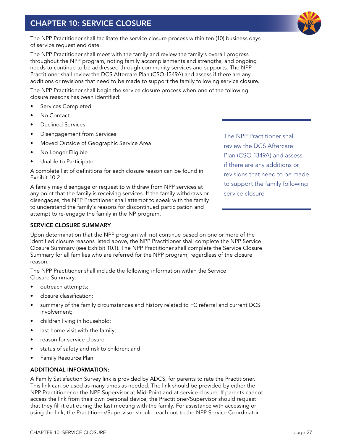# <span id="page-29-0"></span>CHAPTER 10: SERVICE CLOSURE

The NPP Practitioner shall facilitate the service closure process within ten (10) business days of service request end date.

The NPP Practitioner shall meet with the family and review the family's overall progress throughout the NPP program, noting family accomplishments and strengths, and ongoing needs to continue to be addressed through community services and supports. The NPP Practitioner shall review the DCS Aftercare Plan (CSO-1349A) and assess if there are any additions or revisions that need to be made to support the family following service closure.

The NPP Practitioner shall begin the service closure process when one of the following closure reasons has been identified:

- Services Completed
- No Contact
- Declined Services
- Disengagement from Services
- Moved Outside of Geographic Service Area
- No Longer Eligible
- Unable to Participate

A complete list of definitions for each closure reason can be found in Exhibit 10.2.

A family may disengage or request to withdraw from NPP services at any point that the family is receiving services. If the family withdraws or disengages, the NPP Practitioner shall attempt to speak with the family to understand the family's reasons for discontinued participation and attempt to re-engage the family in the NP program.

#### SERVICE CLOSURE SUMMARY

Upon determination that the NPP program will not continue based on one or more of the identified closure reasons listed above, the NPP Practitioner shall complete the NPP Service Closure Summary (see Exhibit 10.1). The NPP Practitioner shall complete the Service Closure Summary for all families who are referred for the NPP program, regardless of the closure reason.

The NPP Practitioner shall include the following information within the Service Closure Summary:

- outreach attempts;
- closure classification;
- summary of the family circumstances and history related to FC referral and current DCS involvement;
- children living in household;
- last home visit with the family;
- reason for service closure;
- status of safety and risk to children; and
- Family Resource Plan

#### ADDITIONAL INFORMATION:

A Family Satisfaction Survey link is provided by ADCS, for parents to rate the Practitioner. This link can be used as many times as needed. The link should be provided by either the NPP Practitioner or the NPP Supervisor at Mid-Point and at service closure. If parents cannot access the link from their own personal device, the Practitioner/Supervisor should request that they fill it out during the last meeting with the family. For assistance with accessing or using the link, the Practitioner/Supervisor should reach out to the NPP Service Coordinator.

The NPP Practitioner shall review the DCS Aftercare Plan (CSO-1349A) and assess if there are any additions or revisions that need to be made to support the family following service closure.

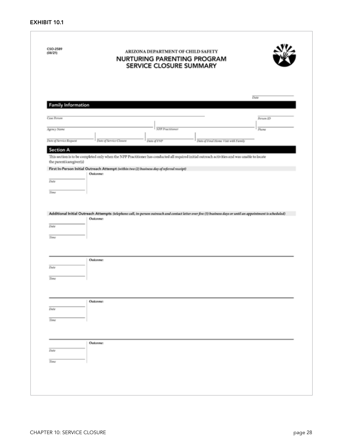<span id="page-30-0"></span>

|                           | NURTURING PARENTING PROGRAM<br>SERVICE CLOSURE SUMMARY                                                                                                                    |  |
|---------------------------|---------------------------------------------------------------------------------------------------------------------------------------------------------------------------|--|
|                           | Dete                                                                                                                                                                      |  |
| <b>Family Information</b> |                                                                                                                                                                           |  |
| <b>Case Person</b>        | Person ID                                                                                                                                                                 |  |
| Agency Name               | <b>NPP Practitioner</b><br>Phone                                                                                                                                          |  |
| Date of Service Request   | <b>Date of Service Closure</b><br>Date of Final Home Visit with Family<br><b>Date of FNP</b>                                                                              |  |
| <b>Section A</b>          |                                                                                                                                                                           |  |
|                           | This section is to be completed only when the NPP Practitioner has conducted all required initial outreach activities and was unable to locate                            |  |
| the parent/caregiver(s)   | First In-Person Initial Outreach Attempt (within two (2) business day of referral receipt)                                                                                |  |
|                           | <b>Outcome:</b>                                                                                                                                                           |  |
| Date                      |                                                                                                                                                                           |  |
| Time                      |                                                                                                                                                                           |  |
|                           |                                                                                                                                                                           |  |
|                           |                                                                                                                                                                           |  |
|                           | Additional Initial Outreach Attempts (telephone call, in-person outreach and contact letter over five (5) business days or until an appointment is scheduled)<br>Outcomer |  |
| Date                      |                                                                                                                                                                           |  |
| Time                      |                                                                                                                                                                           |  |
|                           |                                                                                                                                                                           |  |
|                           |                                                                                                                                                                           |  |
| Date                      | Outcome:                                                                                                                                                                  |  |
|                           |                                                                                                                                                                           |  |
| Time                      |                                                                                                                                                                           |  |
|                           |                                                                                                                                                                           |  |
|                           | <b>Outcome:</b>                                                                                                                                                           |  |
| Date                      |                                                                                                                                                                           |  |
| Time                      |                                                                                                                                                                           |  |
|                           |                                                                                                                                                                           |  |
|                           |                                                                                                                                                                           |  |
|                           | Outcomer                                                                                                                                                                  |  |
| Date                      |                                                                                                                                                                           |  |
| Time                      |                                                                                                                                                                           |  |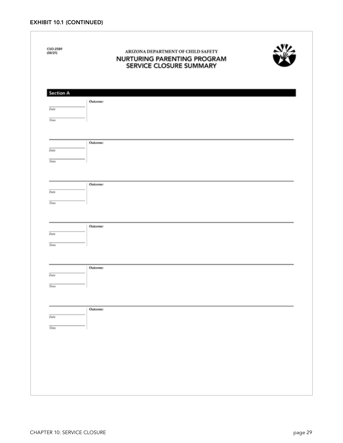<span id="page-31-0"></span>

| CSO-2589<br>(00/21) | ARIZONA DEPARTMENT OF CHILD SAFETY<br>NURTURING PARENTING PROGRAM<br>SERVICE CLOSURE SUMMARY |
|---------------------|----------------------------------------------------------------------------------------------|
| Section A           |                                                                                              |
| Date                | Outcome:                                                                                     |
|                     |                                                                                              |
| Time                |                                                                                              |
|                     | Outcome:                                                                                     |
| Date                |                                                                                              |
| Time                |                                                                                              |
|                     |                                                                                              |
| Date                | <b>Outcome:</b>                                                                              |
| Time                |                                                                                              |
|                     |                                                                                              |
|                     | Outcome:                                                                                     |
| Date                |                                                                                              |
| Time                |                                                                                              |
|                     |                                                                                              |
|                     | Outcome:                                                                                     |
| Date                |                                                                                              |
| Time                |                                                                                              |
|                     |                                                                                              |
|                     | <b>Outcome:</b>                                                                              |
| Date                |                                                                                              |
| Time                |                                                                                              |
|                     |                                                                                              |
|                     |                                                                                              |
|                     |                                                                                              |
|                     |                                                                                              |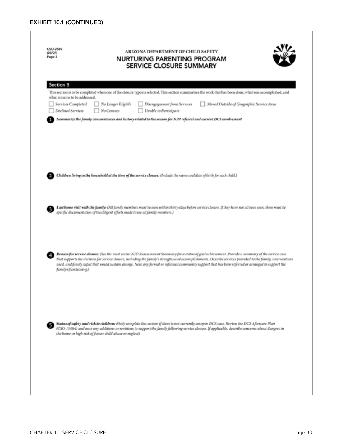<span id="page-32-0"></span>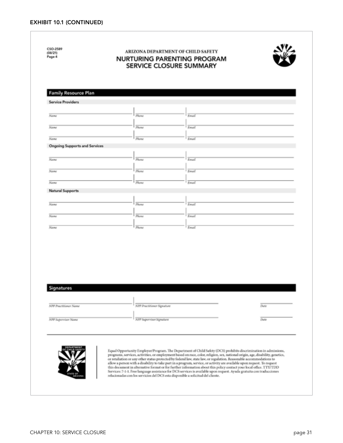<span id="page-33-0"></span>

| <b>Service Providers</b>             |                                   |              |      |
|--------------------------------------|-----------------------------------|--------------|------|
|                                      |                                   |              |      |
| Name                                 | Phone                             | Email        |      |
| <b>Name</b>                          | Plume                             | Email        |      |
| Name                                 | Phone                             | Email        |      |
| <b>Ongoing Supports and Services</b> |                                   |              |      |
| Name                                 | $\overline{p_{\text{hour}}}$      | <b>Email</b> |      |
| Name                                 | Phone                             | Email        |      |
|                                      |                                   |              |      |
| Name                                 | Please                            | Email        |      |
| <b>Natural Supports</b>              |                                   |              |      |
| Name                                 | Phone                             | Email        |      |
| $\overline{N_{d,NN}}$                | <b>Phone</b>                      | <b>Email</b> |      |
| Name                                 | Please                            | Email        |      |
| Signatures                           | <b>NPP Practitioner Signature</b> |              | Dute |
| NPP Practitioner Name                |                                   |              |      |
| NPP Supervisor Name                  |                                   |              | Date |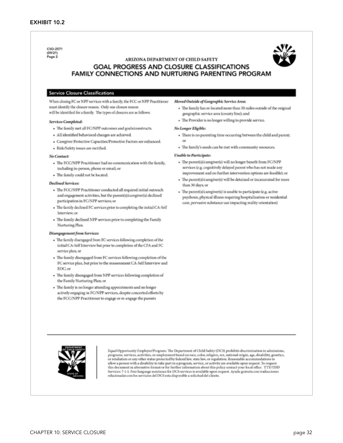<span id="page-34-0"></span>CSO-2571 (09/21) Page 2

#### ARIZONA DEPARTMENT OF CHILD SAFETY **GOAL PROGRESS AND CLOSURE CLASSIFICATIONS** FAMILY CONNECTIONS AND NURTURING PARENTING PROGRAM

#### **Service Closure Classifications**

When closing FC or NPP services with a family, the FCC or NPP Practitioner must identify the closure reason. Only one closure reason will be identified for a family. The types of closures are as follows:

#### Services Completed:

- · The family met all FC/NPP outcomes and goals/constructs.
- · All identified behavioral changes are achieved
- Caregiver Protective Capacities/Protective Factors are enhanced.
- Risk/Safety issues are rectified.

#### No Contact:

- · The FCC/NPP Practitioner had no communication with the family, including in-person, phone or email; or
- · The family could not be located.

#### **Declined Services:**

- · The FCC/NPP Practitioner conducted all required initial outreach and engagement activities, but the parent(s)/caregiver(s) declined participation in FC/NPP services; or
- · The family declined FC services prior to completing the initial CA-Self Interview, or
- The family declined NPP services prior to completing the Family Nurturing Plan.

#### Disengagement from Services:

- The family disengaged from FC services following completion of the initial CA-Self Interview but prior to completion of the CFA and FC service plan; or
- The family disengaged from FC services following completion of the FC service plan, but prior to the reassessment CA-Self Interview and EOC; or
- · The family disengaged from NPP services following completion of the Family Nurturing Plan; or
- The family is no longer attending appointments and no longer actively engaging in FC/NPP services, despite concerted efforts by the FCC/NPP Practitioner to engage or re-engage the parents

#### Moved Outside of Geographic Service Area:

- · The family has re-located more than 50 miles outside of the original geographic service area (county line); and
- · The Provider is no longer willing to provide service.

#### No Longer Eligible:

- There is no parenting time occurring between the child and parent;
- · The family's needs can be met with community resources.

#### Unable to Participate:

- · The parent(s)/caregiver(s) will no longer benefit from FC/NPP services (e.g, cognitively delayed parent who has not made any improvement and no further intervention options are feasible); or
- · The parent(s)/caregiver(s) will be detained or incarcerated for more than 30 days or
- · The parent(s)/caregiver(s) is unable to participate (e.g. active psychosis, physical illness requiring hospitalization or residential care, pervasive substance use impacting reality orientation)



Equal Opportunity Employer/Program. The Department of Child Safety (DCS) prohibits discrimination in admissions, programs, services, activities, or employment based on race, color, religion, sex, national origin, age, disability, genetics,<br>or retaliation or any other status protected by federal law, state law, or regulation. Reasonab allow a person with a disability to take part in a program, service, or activity are available upon request. To reques this document in alternative format or for further information about this policy contact your local office. TTY/TDD Services: 7-1-1. Free language assistance for DCS services is available upon request. Ayuda gratuita con traducciones<br>relacionadas con los servicios del DCS esta disponible a solicitud del cliente.

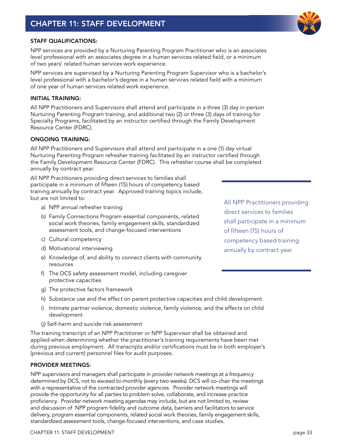#### <span id="page-35-0"></span>STAFF QUALIFICATIONS:

NPP services are provided by a Nurturing Parenting Program Practitioner who is an associates level professional with an associates degree in a human services related field, or a minimum of two years' related human services work experience.

NPP services are supervised by a Nurturing Parenting Program Supervisor who is a bachelor's level professional with a bachelor's degree in a human services related field with a minimum of one year of human services related work experience.

#### INITIAL TRAINING:

All NPP Practitioners and Supervisors shall attend and participate in a three (3) day in-person Nurturing Parenting Program training, and additional two (2) or three (3) days of training for Specialty Programs, facilitated by an instructor certified through the Family Development Resource Center (FDRC).

#### ONGOING TRAINING:

All NPP Practitioners and Supervisors shall attend and participate in a one (1) day virtual Nurturing Parenting Program refresher training facilitated by an instructor certified through the Family Development Resource Center (FDRC). This refresher course shall be completed annually by contract year.

All NPP Practitioners providing direct services to families shall participate in a minimum of fifteen (15) hours of competency based training annually by contract year. Approved training topics include, but are not limited to:

- a) NPP annual refresher training
- b) Family Connections Program essential components, related social work theories, family engagement skills, standardized assessment tools, and change-focused interventions
- c) Cultural competency
- d) Motivational interviewing
- e) Knowledge of, and ability to connect clients with community resources
- f) The DCS safety assessment model, including caregiver protective capacities
- g) The protective factors framework
- h) Substance use and the effect on parent protective capacities and child development
- i) Intimate partner violence, domestic violence, family violence, and the effects on child development
- (j) Self-harm and suicide risk assessment

The training transcript of an NPP Practitioner or NPP Supervisor shall be obtained and applied when determining whether the practitioner's training requirements have been met during previous employment. All transcripts and/or certifications must be in both employer's (previous and current) personnel files for audit purposes.

#### PROVIDER MEETINGS:

NPP supervisors and managers shall participate in provider network meetings at a frequency determined by DCS, not to exceed bi-monthly (every two weeks). DCS will co-chair the meetings with a representative of the contracted provider agencies. Provider network meetings will provide the opportunity for all parties to problem solve, collaborate, and increase practice proficiency. Provider network meeting agendas may include, but are not limited to, review and discussion of NPP program fidelity and outcome data, barriers and facilitators to service delivery, program essential components, related social work theories, family engagement skills, standardized assessment tools, change-focused interventions, and case studies.

CHAPTER 11: STAFF DEVELOPMENT **page 33** 

All NPP Practitioners providing direct services to families shall participate in a minimum of fifteen (15) hours of competency based training annually by contract year.